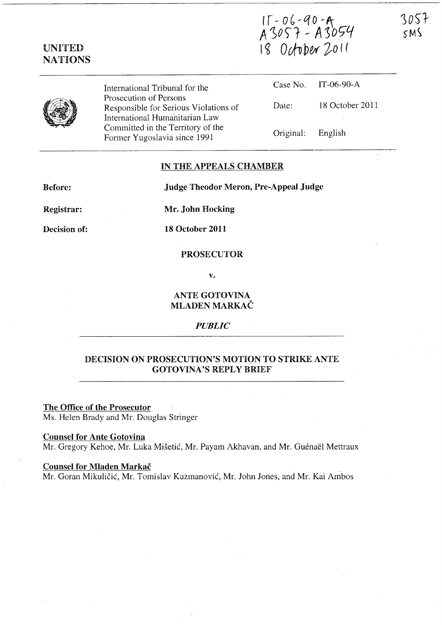# IT - 06 - 90 - A<br>A 3057 - A 3054<br>I8 October 2011



UNITED NATIONS

> International Tribunal for the Prosecution of Persons Responsible for Serious Violations of International Humanitarian Law Committed in the Territory of the Former Yugoslavia since 1991

|                   | Case No. IT-06-90-A |
|-------------------|---------------------|
| Date:             | 18 October 2011     |
| Original: English |                     |

### IN THE APPEALS CHAMBER

Before:

Judge Theodor Meron, Pre-Appeal Judge

Registrar:

Mr. John Hocking

Decision of:

18 October 2011

### PROSECUTOR

v.

# ANTE GOTOVINA MLADEN MARKAC

*PUBLIC* 

# DECISION ON PROSECUTION'S MOTION TO STRIKE ANTE GOTOVINA'S REPLY BRIEF

# The Office of the Prosecutor

Ms. Helen Brady and Mr. Douglas Stringer

## Counsel for Ante Gotovina

Mr. Gregory Kehoe, Mr. Luka Mišetić, Mr. Payam Akhavan, and Mr. Guénaël Mettraux

### Counsel for Mladen Markac

Mr. Goran Mikulicic, Mr. Tomislav Kuzmanovic, Mr. John Jones, and Mr. Kai Ambos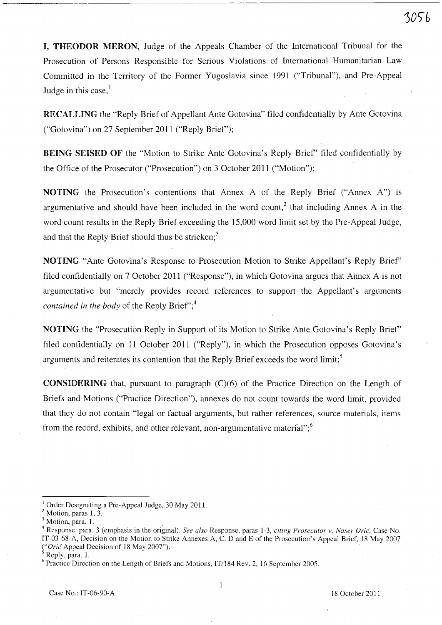I, THEODOR MERON, Judge of the Appeals Chamber of the International Tribunal for the Prosecution of Persons Responsible for Serious Violations of International Humanitarian Law Committed in the Territory of the Former Yugoslavia since 1991 ("Tribunal"), and Pre-Appeal Judge in this case,<sup>1</sup>

RECALLING the "Reply Brief of Appellant Ante Gotovina" filed confidentially by Ante Gotovina ("Gotovina") on 27 September 2011 ("Reply Brief');

BEING SEISED OF the "Motion to Strike Ante Gotovina's Reply Brief' filed confidentially by the Office of the Prosecutor ("Prosecution") on 3 October 2011 ("Motion");

NOTING the Prosecution's contentions that Annex A of the Reply Brief ("Annex A") is argumentative and should have been included in the word count,<sup>2</sup> that including Annex A in the word count results in the Reply Brief exceeding the 15,000 word limit set by the Pre-Appeal Judge, and that the Reply Brief should thus be stricken; $3$ 

NOTING "Ante Gotovina's Response to Prosecution Motion to Strike Appellant's Reply Brief' filed confidentially on 7 October 2011 ("Response"), in which Gotovina argues that Annex A is not argumentative but "merely provides record references to support the Appellant's arguments *contained in the body* of the Reply Brief";<sup>4</sup>

NOTING the "Prosecution Reply in Support of its Motion to Strike Ante Gotovina's Reply Brief' filed confidentially on 11 October 2011 ("Reply"), in which the Prosecution opposes Gotovina's arguments and reiterates its contention that the Reply Brief exceeds the word  $\text{limit}$ ;

**CONSIDERING** that, pursuant to paragraph  $(C)(6)$  of the Practice Direction on the Length of Briefs and Motions ("Practice Direction"), annexes do not count towards the word limit, provided that they do not contain "legal or factual arguments, but rather references, source materials, items from the record, exhibits, and other relevant, non-argumentative material"; $\frac{6}{3}$ 

<sup>I</sup>Order Designating a Pre-Appeal Judge, 30 May 2011.

 $<sup>2</sup>$  Motion, paras 1, 3.</sup>

Motion, para. 1.

<sup>&</sup>lt;sup>4</sup> Response, para. 3 (emphasis in the original). See also Response, paras 1-3, *citing Prosecutor v. Naser Orić*, Case No. IT-03-68-A, Decision on the Motion to Strike Annexes A, C, D and E of the Prosecution's Appeal Brief, 18 May 2007 *("Oric*' Appeal Decision of 18 May 2007").

Reply, para. 1.

<sup>&</sup>lt;sup>6</sup> Practice Direction on the Length of Briefs and Motions, IT/184 Rev. 2, 16 September 2005.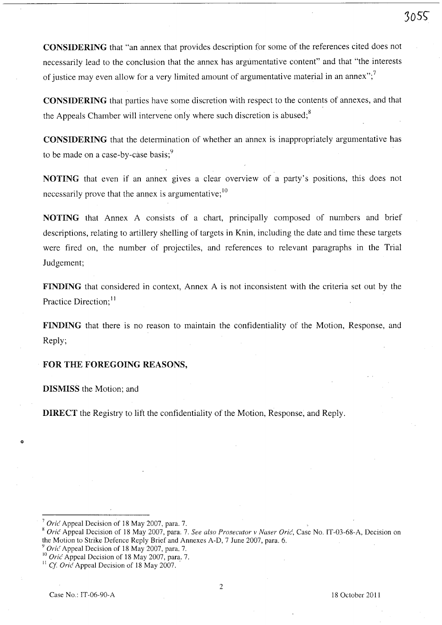CONSIDERING that "an annex that provides description for some of the references cited does not necessarily lead to the conclusion that the annex has argumentative content" and that "the interests of justice may even allow for a very limited amount of argumentative material in an annex";<sup>7</sup>

CONSIDERING that parties have some discretion with respect to the contents of annexes, and that the Appeals Chamber will intervene only where such discretion is abused; $8$ 

CONSIDERING that the determination of whether an annex is inappropriately argumentative has to be made on a case-by-case basis;<sup>9</sup>

NOTING that even if an annex gives a clear overview of a party's positions, this does not necessarily prove that the annex is argumentative;  $10$ 

NOTING that Annex A consists of a chart, principally composed of numbers and brief descriptions, relating to artillery shelling of targets in Knin, including the date and time these targets were fired on, the number of projectiles, and references to relevant paragraphs in the Trial Judgement;

FINDING that considered in context, Annex A is not inconsistent with the criteria set out by the Practice Direction;<sup>11</sup>

FINDING that there is no reason to maintain the confidentiality of the Motion, Response, and Reply;

### FOR THE FOREGOING REASONS,

DISMISS the Motion; and

o

DIRECT the Registry to lift the confidentiality of the Motion, Response, and Reply.

Oric Appeal Decision of 18 May 2007, para. 7.

<sup>8</sup>*Oric* Appeal Decision of 18 May 2007, para. 7. *See also Prosecutor v Naser Oric,* Case No. IT-03-68-A, Decision on the Motion to Strike Defence Reply Brief and Annexes A-D, 7 June 2007, para. 6.

*Orić* Appeal Decision of 18 May 2007, para. 7.

<sup>&</sup>lt;sup>10</sup> *Orić* Appeal Decision of 18 May 2007, para. 7.

<sup>&</sup>lt;sup>11</sup> Cf. Oric<sup> $\overline{A}$ </sup> Appeal Decision of 18 May 2007.